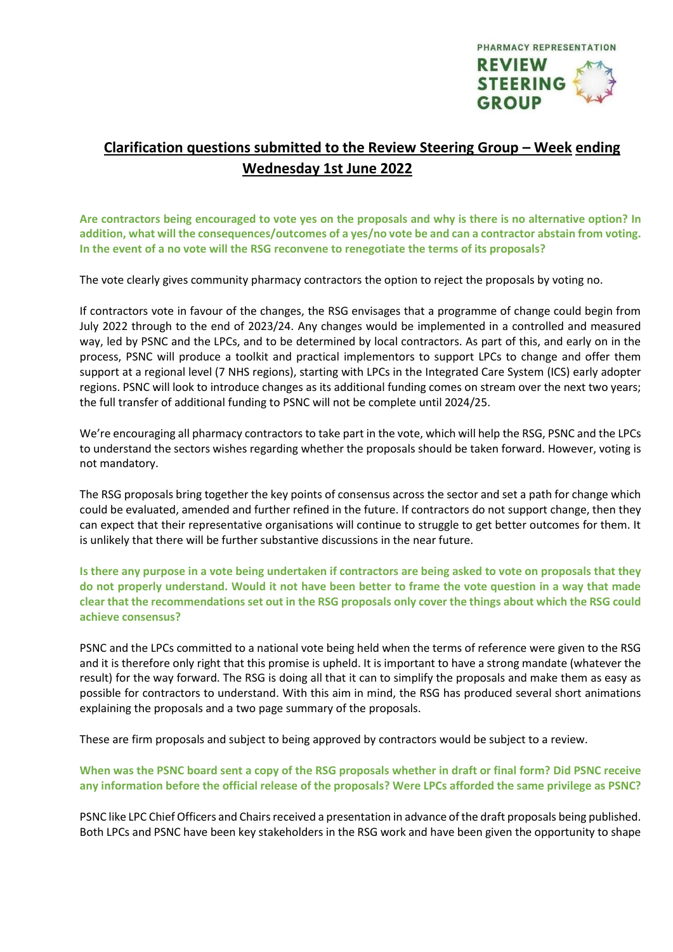

## **Clarification questions submitted to the Review Steering Group – Week ending Wednesday 1st June 2022**

**Are contractors being encouraged to vote yes on the proposals and why is there is no alternative option? In addition, what will the consequences/outcomes of a yes/no vote be and can a contractor abstain from voting. In the event of a no vote will the RSG reconvene to renegotiate the terms of its proposals?** 

The vote clearly gives community pharmacy contractors the option to reject the proposals by voting no.

If contractors vote in favour of the changes, the RSG envisages that a programme of change could begin from July 2022 through to the end of 2023/24. Any changes would be implemented in a controlled and measured way, led by PSNC and the LPCs, and to be determined by local contractors. As part of this, and early on in the process, PSNC will produce a toolkit and practical implementors to support LPCs to change and offer them support at a regional level (7 NHS regions), starting with LPCs in the Integrated Care System (ICS) early adopter regions. PSNC will look to introduce changes as its additional funding comes on stream over the next two years; the full transfer of additional funding to PSNC will not be complete until 2024/25.

We're encouraging all pharmacy contractors to take part in the vote, which will help the RSG, PSNC and the LPCs to understand the sectors wishes regarding whether the proposals should be taken forward. However, voting is not mandatory.

The RSG proposals bring together the key points of consensus across the sector and set a path for change which could be evaluated, amended and further refined in the future. If contractors do not support change, then they can expect that their representative organisations will continue to struggle to get better outcomes for them. It is unlikely that there will be further substantive discussions in the near future.

**Is there any purpose in a vote being undertaken if contractors are being asked to vote on proposals that they do not properly understand. Would it not have been better to frame the vote question in a way that made clear that the recommendations set out in the RSG proposals only cover the things about which the RSG could achieve consensus?** 

PSNC and the LPCs committed to a national vote being held when the terms of reference were given to the RSG and it is therefore only right that this promise is upheld. It is important to have a strong mandate (whatever the result) for the way forward. The RSG is doing all that it can to simplify the proposals and make them as easy as possible for contractors to understand. With this aim in mind, the RSG has produced several short animations explaining the proposals and a two page summary of the proposals.

These are firm proposals and subject to being approved by contractors would be subject to a review.

**When was the PSNC board sent a copy of the RSG proposals whether in draft or final form? Did PSNC receive any information before the official release of the proposals? Were LPCs afforded the same privilege as PSNC?** 

PSNC like LPC Chief Officers and Chairs received a presentation in advance of the draft proposals being published. Both LPCs and PSNC have been key stakeholders in the RSG work and have been given the opportunity to shape